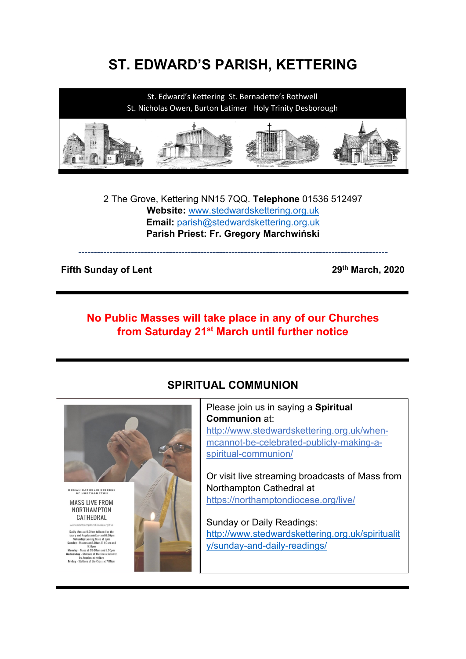# **ST. EDWARD'S PARISH, KETTERING**



2 The Grove, Kettering NN15 7QQ. **Telephone** 01536 512497 **Website:** [www.stedwardskettering.org.uk](http://www.stedwardskettering.org.uk/) **Email:** [parish@stedwardskettering.org.uk](mailto:parish@stedwardskettering.org.uk) **Parish Priest: Fr. Gregory Marchwiński**

**---------------------------------------------------------------------------------------------------**

**Fifth Sunday of Lent** 2020 **29th March, 2020** 

### **No Public Masses will take place in any of our Churches from Saturday 21st March until further notice**



**MASS LIVE FROM** NORTHAMPTON CATHEDRAL

**Daily** Mass at 9.30am followed by the<br>recors and Angelus midday and 6.00am

**Party Mass at 3.00ml Thuowee by The Transfer Start of Start Are Saturdal Start Are Start Are Start Are Start Are Start Are Start Are Monday - Mass at 6 3.00ml Start Are Monday - Mass at 0.300ml Member 3.1 (Start Are Start** 



Ļ

### **SPIRITUAL COMMUNION**

Please join us in saying a **Spiritual Communion** at: [http://www.stedwardskettering.org.uk/when](http://www.stedwardskettering.org.uk/when-mass-cannot-be-celebrated-publicly-making-a-spiritual-communion/)[mcannot-be-celebrated-publicly-making-a](http://www.stedwardskettering.org.uk/when-mass-cannot-be-celebrated-publicly-making-a-spiritual-communion/)[spiritual-communion/](http://www.stedwardskettering.org.uk/when-mass-cannot-be-celebrated-publicly-making-a-spiritual-communion/)

Or visit live streaming broadcasts of Mass from Northampton Cathedral at <https://northamptondiocese.org/live/>

Sunday or Daily Readings: [http://www.stedwardskettering.org.uk/spiritualit](http://www.stedwardskettering.org.uk/spirituality/sunday-and-daily-readings/) [y/sunday-and-daily-readings/](http://www.stedwardskettering.org.uk/spirituality/sunday-and-daily-readings/)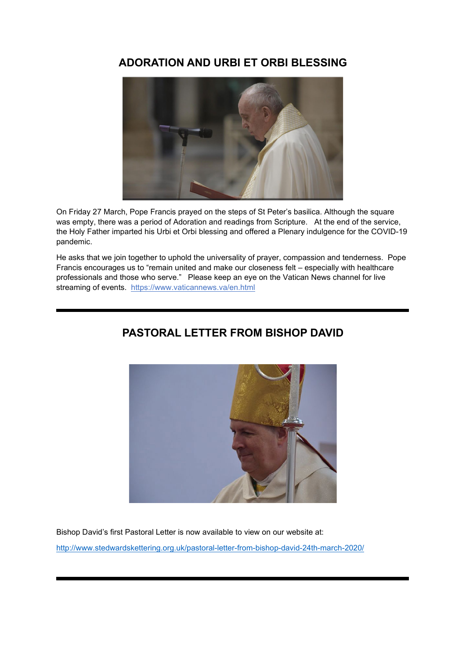### **ADORATION AND URBI ET ORBI BLESSING**



On Friday 27 March, Pope Francis prayed on the steps of St Peter's basilica. Although the square was empty, there was a period of Adoration and readings from Scripture. At the end of the service, the Holy Father imparted his Urbi et Orbi blessing and offered a Plenary indulgence for the COVID-19 pandemic.

He asks that we join together to uphold the universality of prayer, compassion and tenderness. Pope Francis encourages us to "remain united and make our closeness felt – especially with healthcare professionals and those who serve." Please keep an eye on the Vatican News channel for live streaming of events. <https://www.vaticannews.va/en.html>



# **PASTORAL LETTER FROM BISHOP DAVID**

Bishop David's first Pastoral Letter is now available to view on our website at: <http://www.stedwardskettering.org.uk/pastoral-letter-from-bishop-david-24th-march-2020/>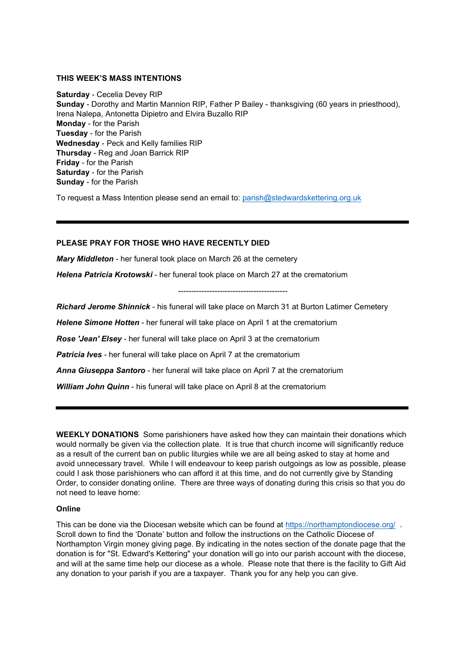### **THIS WEEK'S MASS INTENTIONS**

**Saturday** - Cecelia Devey RIP **Sunday** - Dorothy and Martin Mannion RIP, Father P Bailey - thanksgiving (60 years in priesthood), Irena Nalepa, Antonetta Dipietro and Elvira Buzallo RIP **Monday** - for the Parish **Tuesday** - for the Parish **Wednesday** - Peck and Kelly families RIP **Thursday** - Reg and Joan Barrick RIP **Friday** - for the Parish **Saturday** - for the Parish **Sunday** - for the Parish

To request a Mass Intention please send an email to: [parish@stedwardskettering.org.uk](mailto:parish@stedwardskettering.org.uk)

### **PLEASE PRAY FOR THOSE WHO HAVE RECENTLY DIED**

*Mary Middleton* - her funeral took place on March 26 at the cemetery

*Helena Patricia Krotowski* - her funeral took place on March 27 at the crematorium

------------------------------------------

*Richard Jerome Shinnick* - his funeral will take place on March 31 at Burton Latimer Cemetery

*Helene Simone Hotten* - her funeral will take place on April 1 at the crematorium

*Rose 'Jean' Elsey* - her funeral will take place on April 3 at the crematorium

*Patricia Ives* - her funeral will take place on April 7 at the crematorium

*Anna Giuseppa Santoro* - her funeral will take place on April 7 at the crematorium

*William John Quinn* - his funeral will take place on April 8 at the crematorium

**WEEKLY DONATIONS** Some parishioners have asked how they can maintain their donations which would normally be given via the collection plate. It is true that church income will significantly reduce as a result of the current ban on public liturgies while we are all being asked to stay at home and avoid unnecessary travel. While I will endeavour to keep parish outgoings as low as possible, please could I ask those parishioners who can afford it at this time, and do not currently give by Standing Order, to consider donating online. There are three ways of donating during this crisis so that you do not need to leave home:

### **Online**

This can be done via the Diocesan website which can be found at<https://northamptondiocese.org/> . Scroll down to find the 'Donate' button and follow the instructions on the Catholic Diocese of Northampton Virgin money giving page. By indicating in the notes section of the donate page that the donation is for "St. Edward's Kettering" your donation will go into our parish account with the diocese, and will at the same time help our diocese as a whole. Please note that there is the facility to Gift Aid any donation to your parish if you are a taxpayer. Thank you for any help you can give.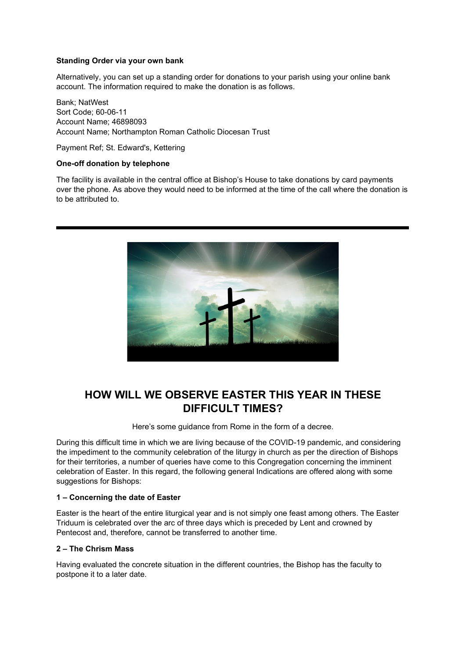### **Standing Order via your own bank**

Alternatively, you can set up a standing order for donations to your parish using your online bank account. The information required to make the donation is as follows.

Bank; NatWest Sort Code; 60-06-11 Account Name; 46898093 Account Name; Northampton Roman Catholic Diocesan Trust

Payment Ref; St. Edward's, Kettering

#### **One-off donation by telephone**

The facility is available in the central office at Bishop's House to take donations by card payments over the phone. As above they would need to be informed at the time of the call where the donation is to be attributed to.



## **HOW WILL WE OBSERVE EASTER THIS YEAR IN THESE DIFFICULT TIMES?**

Here's some guidance from Rome in the form of a decree.

During this difficult time in which we are living because of the COVID-19 pandemic, and considering the impediment to the community celebration of the liturgy in church as per the direction of Bishops for their territories, a number of queries have come to this Congregation concerning the imminent celebration of Easter. In this regard, the following general Indications are offered along with some suggestions for Bishops:

### **1 – Concerning the date of Easter**

Easter is the heart of the entire liturgical year and is not simply one feast among others. The Easter Triduum is celebrated over the arc of three days which is preceded by Lent and crowned by Pentecost and, therefore, cannot be transferred to another time.

### **2 – The Chrism Mass**

Having evaluated the concrete situation in the different countries, the Bishop has the faculty to postpone it to a later date.